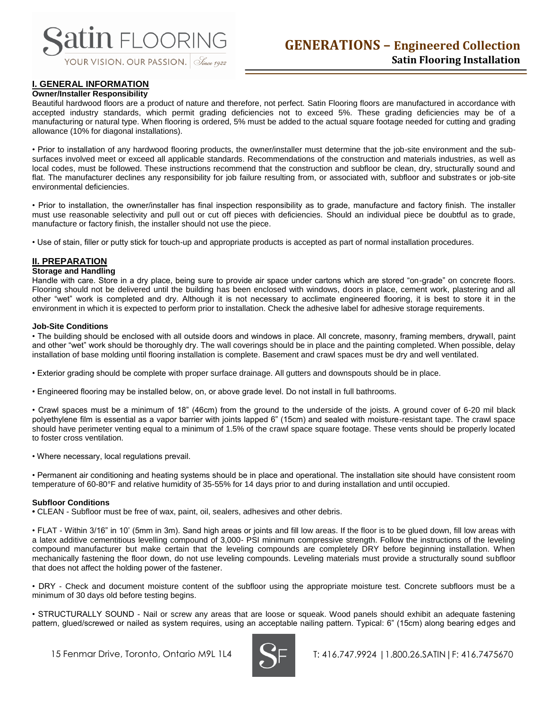

# **I. GENERAL INFORMATION**

#### **Owner/Installer Responsibility**

Beautiful hardwood floors are a product of nature and therefore, not perfect. Satin Flooring floors are manufactured in accordance with accepted industry standards, which permit grading deficiencies not to exceed 5%. These grading deficiencies may be of a manufacturing or natural type. When flooring is ordered, 5% must be added to the actual square footage needed for cutting and grading allowance (10% for diagonal installations).

• Prior to installation of any hardwood flooring products, the owner/installer must determine that the job-site environment and the subsurfaces involved meet or exceed all applicable standards. Recommendations of the construction and materials industries, as well as local codes, must be followed. These instructions recommend that the construction and subfloor be clean, dry, structurally sound and flat. The manufacturer declines any responsibility for job failure resulting from, or associated with, subfloor and substrates or job-site environmental deficiencies.

• Prior to installation, the owner/installer has final inspection responsibility as to grade, manufacture and factory finish. The installer must use reasonable selectivity and pull out or cut off pieces with deficiencies. Should an individual piece be doubtful as to grade, manufacture or factory finish, the installer should not use the piece.

• Use of stain, filler or putty stick for touch-up and appropriate products is accepted as part of normal installation procedures.

## **II. PREPARATION**

#### **Storage and Handling**

Handle with care. Store in a dry place, being sure to provide air space under cartons which are stored "on-grade" on concrete floors. Flooring should not be delivered until the building has been enclosed with windows, doors in place, cement work, plastering and all other "wet" work is completed and dry. Although it is not necessary to acclimate engineered flooring, it is best to store it in the environment in which it is expected to perform prior to installation. Check the adhesive label for adhesive storage requirements.

#### **Job-Site Conditions**

• The building should be enclosed with all outside doors and windows in place. All concrete, masonry, framing members, drywall, paint and other "wet" work should be thoroughly dry. The wall coverings should be in place and the painting completed. When possible, delay installation of base molding until flooring installation is complete. Basement and crawl spaces must be dry and well ventilated.

• Exterior grading should be complete with proper surface drainage. All gutters and downspouts should be in place.

• Engineered flooring may be installed below, on, or above grade level. Do not install in full bathrooms.

• Crawl spaces must be a minimum of 18" (46cm) from the ground to the underside of the joists. A ground cover of 6-20 mil black polyethylene film is essential as a vapor barrier with joints lapped 6" (15cm) and sealed with moisture-resistant tape. The crawl space should have perimeter venting equal to a minimum of 1.5% of the crawl space square footage. These vents should be properly located to foster cross ventilation.

• Where necessary, local regulations prevail.

• Permanent air conditioning and heating systems should be in place and operational. The installation site should have consistent room temperature of 60-80°F and relative humidity of 35-55% for 14 days prior to and during installation and until occupied.

#### **Subfloor Conditions**

**•** CLEAN - Subfloor must be free of wax, paint, oil, sealers, adhesives and other debris.

• FLAT - Within 3/16" in 10' (5mm in 3m). Sand high areas or joints and fill low areas. If the floor is to be glued down, fill low areas with a latex additive cementitious levelling compound of 3,000- PSI minimum compressive strength. Follow the instructions of the leveling compound manufacturer but make certain that the leveling compounds are completely DRY before beginning installation. When mechanically fastening the floor down, do not use leveling compounds. Leveling materials must provide a structurally sound subfloor that does not affect the holding power of the fastener.

• DRY - Check and document moisture content of the subfloor using the appropriate moisture test. Concrete subfloors must be a minimum of 30 days old before testing begins.

• STRUCTURALLY SOUND - Nail or screw any areas that are loose or squeak. Wood panels should exhibit an adequate fastening pattern, glued/screwed or nailed as system requires, using an acceptable nailing pattern. Typical: 6" (15cm) along bearing edges and

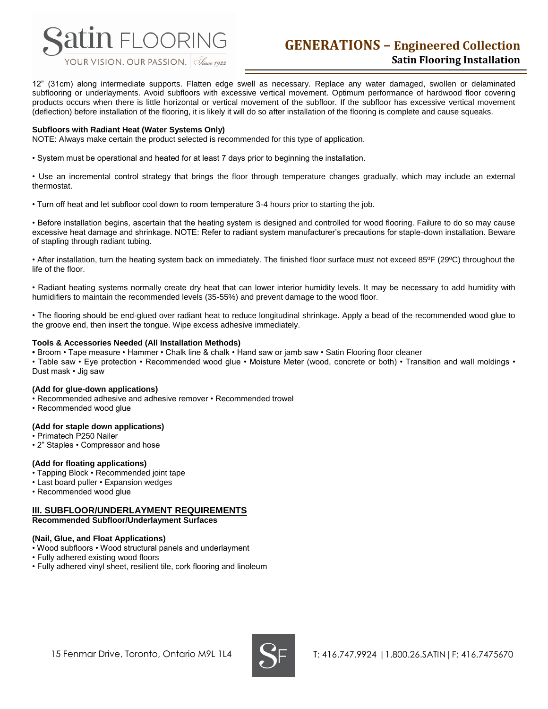

# **GENERATIONS – Engineered Collection Satin Flooring Installation**

12" (31cm) along intermediate supports. Flatten edge swell as necessary. Replace any water damaged, swollen or delaminated subflooring or underlayments. Avoid subfloors with excessive vertical movement. Optimum performance of hardwood floor covering products occurs when there is little horizontal or vertical movement of the subfloor. If the subfloor has excessive vertical movement (deflection) before installation of the flooring, it is likely it will do so after installation of the flooring is complete and cause squeaks.

#### **Subfloors with Radiant Heat (Water Systems Only)**

NOTE: Always make certain the product selected is recommended for this type of application.

• System must be operational and heated for at least 7 days prior to beginning the installation.

• Use an incremental control strategy that brings the floor through temperature changes gradually, which may include an external thermostat.

• Turn off heat and let subfloor cool down to room temperature 3-4 hours prior to starting the job.

• Before installation begins, ascertain that the heating system is designed and controlled for wood flooring. Failure to do so may cause excessive heat damage and shrinkage. NOTE: Refer to radiant system manufacturer's precautions for staple-down installation. Beware of stapling through radiant tubing.

• After installation, turn the heating system back on immediately. The finished floor surface must not exceed 85ºF (29ºC) throughout the life of the floor.

• Radiant heating systems normally create dry heat that can lower interior humidity levels. It may be necessary to add humidity with humidifiers to maintain the recommended levels (35-55%) and prevent damage to the wood floor.

• The flooring should be end-glued over radiant heat to reduce longitudinal shrinkage. Apply a bead of the recommended wood glue to the groove end, then insert the tongue. Wipe excess adhesive immediately.

#### **Tools & Accessories Needed (All Installation Methods)**

**•** Broom • Tape measure • Hammer • Chalk line & chalk • Hand saw or jamb saw • Satin Flooring floor cleaner

• Table saw • Eye protection • Recommended wood glue • Moisture Meter (wood, concrete or both) • Transition and wall moldings • Dust mask • Jig saw

#### **(Add for glue-down applications)**

- Recommended adhesive and adhesive remover Recommended trowel
- Recommended wood glue

#### **(Add for staple down applications)**

- Primatech P250 Nailer
- 2" Staples Compressor and hose

#### **(Add for floating applications)**

- Tapping Block Recommended joint tape
- Last board puller Expansion wedges
- Recommended wood glue

# **III. SUBFLOOR/UNDERLAYMENT REQUIREMENTS**

**Recommended Subfloor/Underlayment Surfaces**

#### **(Nail, Glue, and Float Applications)**

- Wood subfloors Wood structural panels and underlayment
- Fully adhered existing wood floors
- Fully adhered vinyl sheet, resilient tile, cork flooring and linoleum

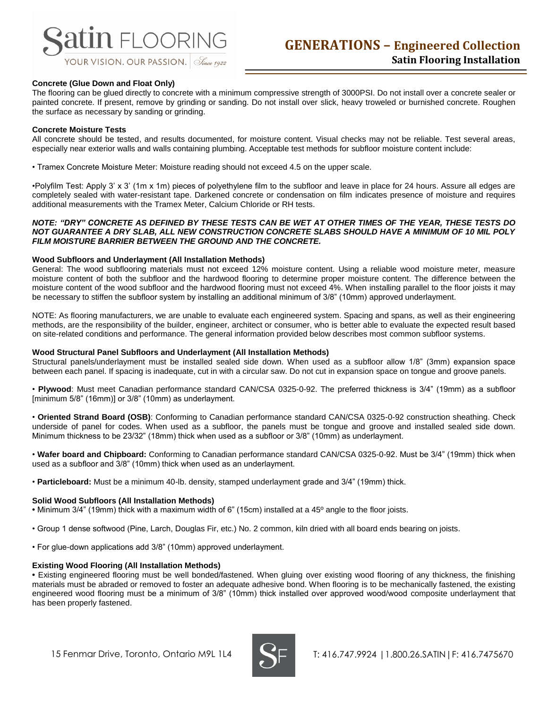# **atin** FLOORING

#### **Concrete (Glue Down and Float Only)**

The flooring can be glued directly to concrete with a minimum compressive strength of 3000PSI. Do not install over a concrete sealer or painted concrete. If present, remove by grinding or sanding. Do not install over slick, heavy troweled or burnished concrete. Roughen the surface as necessary by sanding or grinding.

#### **Concrete Moisture Tests**

All concrete should be tested, and results documented, for moisture content. Visual checks may not be reliable. Test several areas, especially near exterior walls and walls containing plumbing. Acceptable test methods for subfloor moisture content include:

• Tramex Concrete Moisture Meter: Moisture reading should not exceed 4.5 on the upper scale.

•Polyfilm Test: Apply 3' x 3' (1m x 1m) pieces of polyethylene film to the subfloor and leave in place for 24 hours. Assure all edges are completely sealed with water-resistant tape. Darkened concrete or condensation on film indicates presence of moisture and requires additional measurements with the Tramex Meter, Calcium Chloride or RH tests.

#### *NOTE: "DRY" CONCRETE AS DEFINED BY THESE TESTS CAN BE WET AT OTHER TIMES OF THE YEAR, THESE TESTS DO NOT GUARANTEE A DRY SLAB, ALL NEW CONSTRUCTION CONCRETE SLABS SHOULD HAVE A MINIMUM OF 10 MIL POLY FILM MOISTURE BARRIER BETWEEN THE GROUND AND THE CONCRETE.*

#### **Wood Subfloors and Underlayment (All Installation Methods)**

General: The wood subflooring materials must not exceed 12% moisture content. Using a reliable wood moisture meter, measure moisture content of both the subfloor and the hardwood flooring to determine proper moisture content. The difference between the moisture content of the wood subfloor and the hardwood flooring must not exceed 4%. When installing parallel to the floor joists it may be necessary to stiffen the subfloor system by installing an additional minimum of 3/8" (10mm) approved underlayment.

NOTE: As flooring manufacturers, we are unable to evaluate each engineered system. Spacing and spans, as well as their engineering methods, are the responsibility of the builder, engineer, architect or consumer, who is better able to evaluate the expected result based on site-related conditions and performance. The general information provided below describes most common subfloor systems.

#### **Wood Structural Panel Subfloors and Underlayment (All Installation Methods)**

Structural panels/underlayment must be installed sealed side down. When used as a subfloor allow 1/8" (3mm) expansion space between each panel. If spacing is inadequate, cut in with a circular saw. Do not cut in expansion space on tongue and groove panels.

• **Plywood**: Must meet Canadian performance standard CAN/CSA 0325-0-92. The preferred thickness is 3/4" (19mm) as a subfloor [minimum 5/8" (16mm)] or 3/8" (10mm) as underlayment.

• **Oriented Strand Board (OSB)**: Conforming to Canadian performance standard CAN/CSA 0325-0-92 construction sheathing. Check underside of panel for codes. When used as a subfloor, the panels must be tongue and groove and installed sealed side down. Minimum thickness to be 23/32" (18mm) thick when used as a subfloor or 3/8" (10mm) as underlayment.

• **Wafer board and Chipboard:** Conforming to Canadian performance standard CAN/CSA 0325-0-92. Must be 3/4" (19mm) thick when used as a subfloor and 3/8" (10mm) thick when used as an underlayment.

• **Particleboard:** Must be a minimum 40-lb. density, stamped underlayment grade and 3/4" (19mm) thick.

#### **Solid Wood Subfloors (All Installation Methods)**

**•** Minimum 3/4" (19mm) thick with a maximum width of 6" (15cm) installed at a 45º angle to the floor joists.

- Group 1 dense softwood (Pine, Larch, Douglas Fir, etc.) No. 2 common, kiln dried with all board ends bearing on joists.
- For glue-down applications add 3/8" (10mm) approved underlayment.

#### **Existing Wood Flooring (All Installation Methods)**

**•** Existing engineered flooring must be well bonded/fastened. When gluing over existing wood flooring of any thickness, the finishing materials must be abraded or removed to foster an adequate adhesive bond. When flooring is to be mechanically fastened, the existing engineered wood flooring must be a minimum of 3/8" (10mm) thick installed over approved wood/wood composite underlayment that has been properly fastened.

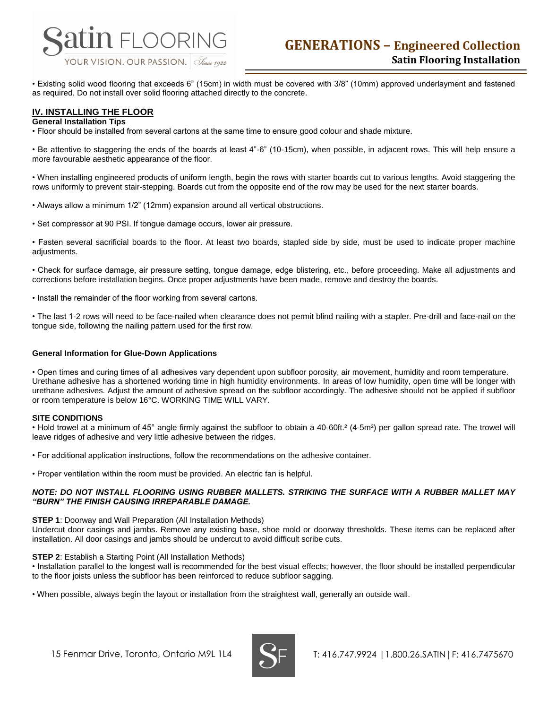

• Existing solid wood flooring that exceeds 6" (15cm) in width must be covered with 3/8" (10mm) approved underlayment and fastened as required. Do not install over solid flooring attached directly to the concrete.

# **IV. INSTALLING THE FLOOR**

#### **General Installation Tips**

• Floor should be installed from several cartons at the same time to ensure good colour and shade mixture.

• Be attentive to staggering the ends of the boards at least 4"-6" (10-15cm), when possible, in adjacent rows. This will help ensure a more favourable aesthetic appearance of the floor.

• When installing engineered products of uniform length, begin the rows with starter boards cut to various lengths. Avoid staggering the rows uniformly to prevent stair-stepping. Boards cut from the opposite end of the row may be used for the next starter boards.

- Always allow a minimum 1/2" (12mm) expansion around all vertical obstructions.
- Set compressor at 90 PSI. If tongue damage occurs, lower air pressure.

• Fasten several sacrificial boards to the floor. At least two boards, stapled side by side, must be used to indicate proper machine adjustments.

• Check for surface damage, air pressure setting, tongue damage, edge blistering, etc., before proceeding. Make all adjustments and corrections before installation begins. Once proper adjustments have been made, remove and destroy the boards.

• Install the remainder of the floor working from several cartons.

• The last 1-2 rows will need to be face-nailed when clearance does not permit blind nailing with a stapler. Pre-drill and face-nail on the tongue side, following the nailing pattern used for the first row.

#### **General Information for Glue-Down Applications**

• Open times and curing times of all adhesives vary dependent upon subfloor porosity, air movement, humidity and room temperature. Urethane adhesive has a shortened working time in high humidity environments. In areas of low humidity, open time will be longer with urethane adhesives. Adjust the amount of adhesive spread on the subfloor accordingly. The adhesive should not be applied if subfloor or room temperature is below 16°C. WORKING TIME WILL VARY.

#### **SITE CONDITIONS**

• Hold trowel at a minimum of 45° angle firmly against the subfloor to obtain a 40-60ft.² (4-5m²) per gallon spread rate. The trowel will leave ridges of adhesive and very little adhesive between the ridges.

• For additional application instructions, follow the recommendations on the adhesive container.

• Proper ventilation within the room must be provided. An electric fan is helpful.

#### *NOTE: DO NOT INSTALL FLOORING USING RUBBER MALLETS. STRIKING THE SURFACE WITH A RUBBER MALLET MAY "BURN" THE FINISH CAUSING IRREPARABLE DAMAGE.*

#### **STEP 1**: Doorway and Wall Preparation (All Installation Methods)

Undercut door casings and jambs. Remove any existing base, shoe mold or doorway thresholds. These items can be replaced after installation. All door casings and jambs should be undercut to avoid difficult scribe cuts.

#### **STEP 2**: Establish a Starting Point (All Installation Methods)

• Installation parallel to the longest wall is recommended for the best visual effects; however, the floor should be installed perpendicular to the floor joists unless the subfloor has been reinforced to reduce subfloor sagging.

• When possible, always begin the layout or installation from the straightest wall, generally an outside wall.

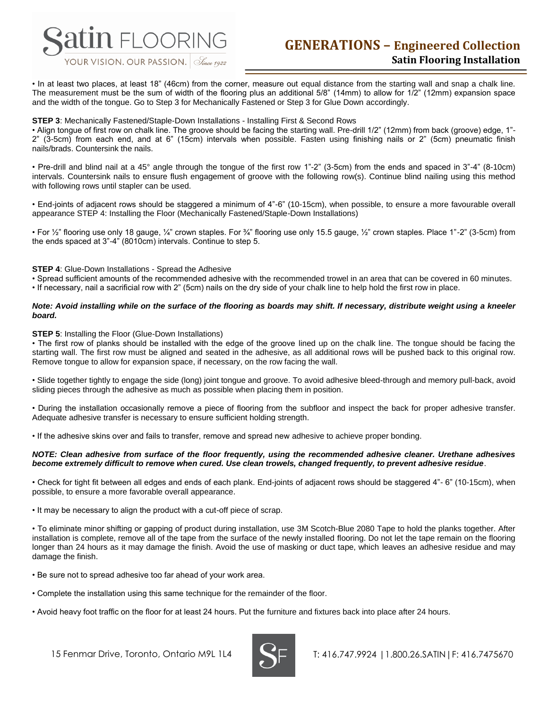

# **GENERATIONS – Engineered Collection Satin Flooring Installation**

• In at least two places, at least 18" (46cm) from the corner, measure out equal distance from the starting wall and snap a chalk line. The measurement must be the sum of width of the flooring plus an additional 5/8" (14mm) to allow for 1/2" (12mm) expansion space and the width of the tongue. Go to Step 3 for Mechanically Fastened or Step 3 for Glue Down accordingly.

#### **STEP 3**: Mechanically Fastened/Staple-Down Installations - Installing First & Second Rows

• Align tongue of first row on chalk line. The groove should be facing the starting wall. Pre-drill 1/2" (12mm) from back (groove) edge, 1"- 2" (3-5cm) from each end, and at 6" (15cm) intervals when possible. Fasten using finishing nails or 2" (5cm) pneumatic finish nails/brads. Countersink the nails.

• Pre-drill and blind nail at a 45° angle through the tongue of the first row 1"-2" (3-5cm) from the ends and spaced in 3"-4" (8-10cm) intervals. Countersink nails to ensure flush engagement of groove with the following row(s). Continue blind nailing using this method with following rows until stapler can be used.

• End-joints of adjacent rows should be staggered a minimum of 4"-6" (10-15cm), when possible, to ensure a more favourable overall appearance STEP 4: Installing the Floor (Mechanically Fastened/Staple-Down Installations)

• For ½" flooring use only 18 gauge, ¼" crown staples. For ¾" flooring use only 15.5 gauge, ½" crown staples. Place 1"-2" (3-5cm) from the ends spaced at 3"-4" (8010cm) intervals. Continue to step 5.

#### **STEP 4:** Glue-Down Installations - Spread the Adhesive

• Spread sufficient amounts of the recommended adhesive with the recommended trowel in an area that can be covered in 60 minutes.

• If necessary, nail a sacrificial row with 2" (5cm) nails on the dry side of your chalk line to help hold the first row in place.

#### *Note: Avoid installing while on the surface of the flooring as boards may shift. If necessary, distribute weight using a kneeler board.*

#### **STEP 5:** Installing the Floor (Glue-Down Installations)

• The first row of planks should be installed with the edge of the groove lined up on the chalk line. The tongue should be facing the starting wall. The first row must be aligned and seated in the adhesive, as all additional rows will be pushed back to this original row. Remove tongue to allow for expansion space, if necessary, on the row facing the wall.

• Slide together tightly to engage the side (long) joint tongue and groove. To avoid adhesive bleed-through and memory pull-back, avoid sliding pieces through the adhesive as much as possible when placing them in position.

• During the installation occasionally remove a piece of flooring from the subfloor and inspect the back for proper adhesive transfer. Adequate adhesive transfer is necessary to ensure sufficient holding strength.

• If the adhesive skins over and fails to transfer, remove and spread new adhesive to achieve proper bonding.

#### *NOTE: Clean adhesive from surface of the floor frequently, using the recommended adhesive cleaner. Urethane adhesives become extremely difficult to remove when cured. Use clean trowels, changed frequently, to prevent adhesive residue*.

• Check for tight fit between all edges and ends of each plank. End-joints of adjacent rows should be staggered 4"- 6" (10-15cm), when possible, to ensure a more favorable overall appearance.

• It may be necessary to align the product with a cut-off piece of scrap.

• To eliminate minor shifting or gapping of product during installation, use 3M Scotch-Blue 2080 Tape to hold the planks together. After installation is complete, remove all of the tape from the surface of the newly installed flooring. Do not let the tape remain on the flooring longer than 24 hours as it may damage the finish. Avoid the use of masking or duct tape, which leaves an adhesive residue and may damage the finish.

• Be sure not to spread adhesive too far ahead of your work area.

- Complete the installation using this same technique for the remainder of the floor.
- Avoid heavy foot traffic on the floor for at least 24 hours. Put the furniture and fixtures back into place after 24 hours.

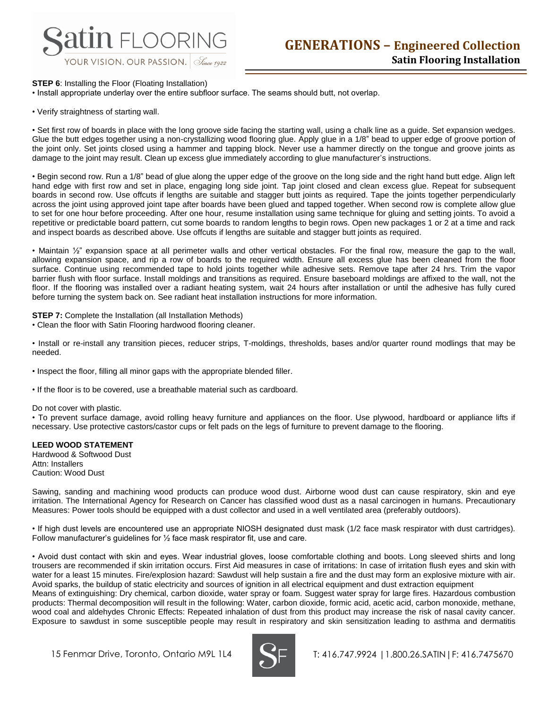## **STEP 6:** Installing the Floor (Floating Installation)

• Install appropriate underlay over the entire subfloor surface. The seams should butt, not overlap.

• Verify straightness of starting wall.

• Set first row of boards in place with the long groove side facing the starting wall, using a chalk line as a guide. Set expansion wedges. Glue the butt edges together using a non-crystallizing wood flooring glue. Apply glue in a 1/8" bead to upper edge of groove portion of the joint only. Set joints closed using a hammer and tapping block. Never use a hammer directly on the tongue and groove joints as damage to the joint may result. Clean up excess glue immediately according to glue manufacturer's instructions.

• Begin second row. Run a 1/8" bead of glue along the upper edge of the groove on the long side and the right hand butt edge. Align left hand edge with first row and set in place, engaging long side joint. Tap joint closed and clean excess glue. Repeat for subsequent boards in second row. Use offcuts if lengths are suitable and stagger butt joints as required. Tape the joints together perpendicularly across the joint using approved joint tape after boards have been glued and tapped together. When second row is complete allow glue to set for one hour before proceeding. After one hour, resume installation using same technique for gluing and setting joints. To avoid a repetitive or predictable board pattern, cut some boards to random lengths to begin rows. Open new packages 1 or 2 at a time and rack and inspect boards as described above. Use offcuts if lengths are suitable and stagger butt joints as required.

• Maintain  $\frac{1}{2}$  expansion space at all perimeter walls and other vertical obstacles. For the final row, measure the gap to the wall, allowing expansion space, and rip a row of boards to the required width. Ensure all excess glue has been cleaned from the floor surface. Continue using recommended tape to hold joints together while adhesive sets. Remove tape after 24 hrs. Trim the vapor barrier flush with floor surface. Install moldings and transitions as required. Ensure baseboard moldings are affixed to the wall, not the floor. If the flooring was installed over a radiant heating system, wait 24 hours after installation or until the adhesive has fully cured before turning the system back on. See radiant heat installation instructions for more information.

**STEP 7:** Complete the Installation (all Installation Methods)

• Clean the floor with Satin Flooring hardwood flooring cleaner.

• Install or re-install any transition pieces, reducer strips, T-moldings, thresholds, bases and/or quarter round modlings that may be needed.

- Inspect the floor, filling all minor gaps with the appropriate blended filler.
- If the floor is to be covered, use a breathable material such as cardboard.

#### Do not cover with plastic.

• To prevent surface damage, avoid rolling heavy furniture and appliances on the floor. Use plywood, hardboard or appliance lifts if necessary. Use protective castors/castor cups or felt pads on the legs of furniture to prevent damage to the flooring.

## **LEED WOOD STATEMENT**

Hardwood & Softwood Dust Attn: Installers Caution: Wood Dust

Sawing, sanding and machining wood products can produce wood dust. Airborne wood dust can cause respiratory, skin and eye irritation. The International Agency for Research on Cancer has classified wood dust as a nasal carcinogen in humans. Precautionary Measures: Power tools should be equipped with a dust collector and used in a well ventilated area (preferably outdoors).

• If high dust levels are encountered use an appropriate NIOSH designated dust mask (1/2 face mask respirator with dust cartridges). Follow manufacturer's guidelines for ½ face mask respirator fit, use and care.

• Avoid dust contact with skin and eyes. Wear industrial gloves, loose comfortable clothing and boots. Long sleeved shirts and long trousers are recommended if skin irritation occurs. First Aid measures in case of irritations: In case of irritation flush eyes and skin with water for a least 15 minutes. Fire/explosion hazard: Sawdust will help sustain a fire and the dust may form an explosive mixture with air. Avoid sparks, the buildup of static electricity and sources of ignition in all electrical equipment and dust extraction equipment

Means of extinguishing: Dry chemical, carbon dioxide, water spray or foam. Suggest water spray for large fires. Hazardous combustion products: Thermal decomposition will result in the following: Water, carbon dioxide, formic acid, acetic acid, carbon monoxide, methane, wood coal and aldehydes Chronic Effects: Repeated inhalation of dust from this product may increase the risk of nasal cavity cancer. Exposure to sawdust in some susceptible people may result in respiratory and skin sensitization leading to asthma and dermatitis